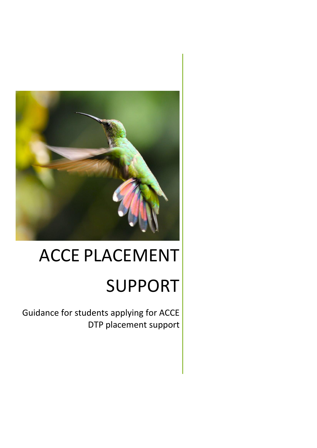

# ACCE PLACEMENT

# SUPPORT

 Guidance for students applying for ACCE DTP placement support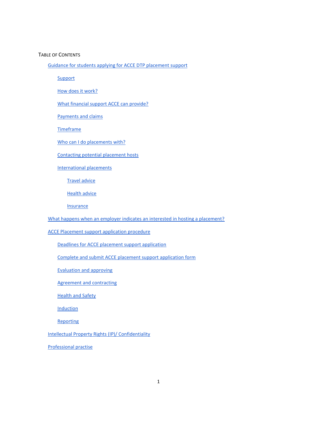#### TABLE OF CONTENTS

[Guidance for students applying for ACCE DTP placement](#page-2-0) support

**[Support](#page-2-1)** 

[How does it work?](#page-2-2)

[What financial support ACCE can provide?](#page-2-3)

[Payments and claims](#page-3-0)

**[Timeframe](#page-4-0)** 

[Who can I do placements with?](#page-4-1)

[Contacting potential placement hosts](#page-5-0)

[International](#page-6-0) placements

[Travel advice](#page-6-1)

[Health advice](#page-6-2)

[Insurance](#page-6-3)

[What happens when an employer indicates](#page-7-0) an interested in hosting a placement?

[ACCE Placement support application procedure](#page-7-1)

[Deadlines for ACCE placement support application](#page-7-2)

Complete and submit ACCE placement support application form

[Evaluation and approving](#page-7-3)

[Agreement and contracting](#page-7-4)

[Health and Safety](#page-8-0)

**[Induction](#page-8-1)** 

**[Reporting](#page-8-2)** 

[Intellectual Property Rights \(IP\)/ Confidentiality](#page-8-3)

[Professional practise](#page-8-4)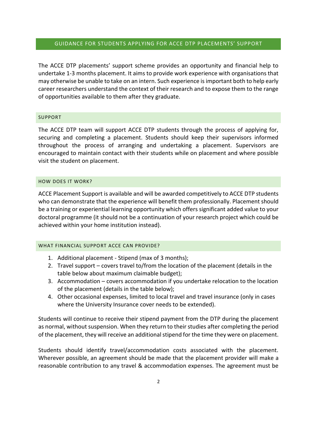# <span id="page-2-0"></span>GUIDANCE FOR STUDENTS APPLYING FOR ACCE DTP PLACEMENTS' SUPPORT

The ACCE DTP placements' support scheme provides an opportunity and financial help to undertake 1-3 months placement. It aims to provide work experience with organisations that may otherwise be unable to take on an intern. Such experience is important both to help early career researchers understand the context of their research and to expose them to the range of opportunities available to them after they graduate.

# <span id="page-2-1"></span>SUPPORT

The ACCE DTP team will support ACCE DTP students through the process of applying for, securing and completing a placement. Students should keep their supervisors informed throughout the process of arranging and undertaking a placement. Supervisors are encouraged to maintain contact with their students while on placement and where possible visit the student on placement.

#### <span id="page-2-2"></span>HOW DOES IT WORK?

ACCE Placement Support is available and will be awarded competitively to ACCE DTP students who can demonstrate that the experience will benefit them professionally. Placement should be a training or experiential learning opportunity which offers significant added value to your doctoral programme (it should not be a continuation of your research project which could be achieved within your home institution instead).

# <span id="page-2-3"></span>WHAT FINANCIAL SUPPORT ACCE CAN PROVIDE?

- 1. Additional placement Stipend (max of 3 months);
- 2. Travel support covers travel to/from the location of the placement (details in the table below about maximum claimable budget);
- 3. Accommodation covers accommodation if you undertake relocation to the location of the placement (details in the table below);
- 4. Other occasional expenses, limited to local travel and travel insurance (only in cases where the University Insurance cover needs to be extended).

Students will continue to receive their stipend payment from the DTP during the placement as normal, without suspension. When they return to their studies after completing the period of the placement, they will receive an additional stipend for the time they were on placement.

Students should identify travel/accommodation costs associated with the placement. Wherever possible, an agreement should be made that the placement provider will make a reasonable contribution to any travel & accommodation expenses. The agreement must be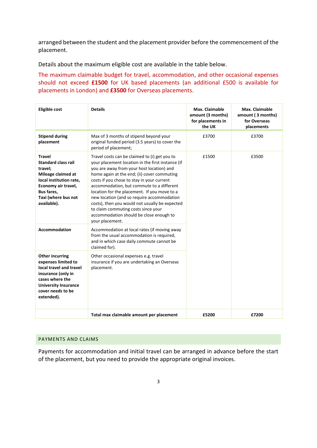arranged between the student and the placement provider before the commencement of the placement.

Details about the maximum eligible cost are available in the table below.

The maximum claimable budget for travel, accommodation, and other occasional expenses should not exceed **£1500** for UK based placements (an additional £500 is available for placements in London) and **£3500** for Overseas placements.

| <b>Eligible cost</b>                                                                                                                                                                | <b>Details</b>                                                                                                                                                                                                                                                                                                                                                                                                                                                                                                                                 | Max. Claimable<br>amount (3 months)<br>for placements in<br>the UK | Max. Claimable<br>amount (3 months)<br>for Overseas<br>placements |
|-------------------------------------------------------------------------------------------------------------------------------------------------------------------------------------|------------------------------------------------------------------------------------------------------------------------------------------------------------------------------------------------------------------------------------------------------------------------------------------------------------------------------------------------------------------------------------------------------------------------------------------------------------------------------------------------------------------------------------------------|--------------------------------------------------------------------|-------------------------------------------------------------------|
| <b>Stipend during</b><br>placement                                                                                                                                                  | Max of 3 months of stipend beyond your<br>original funded period (3.5 years) to cover the<br>period of placement;                                                                                                                                                                                                                                                                                                                                                                                                                              | £3700                                                              | £3700                                                             |
| <b>Travel</b><br><b>Standard class rail</b><br>travel:<br>Mileage claimed at<br>local institution rate,<br>Economy air travel,<br>Bus fares,<br>Taxi (where bus not<br>available).  | Travel costs can be claimed to (i) get you to<br>your placement location in the first instance (if<br>you are away from your host location) and<br>home again at the end; (ii) cover commuting<br>costs if you chose to stay in your current<br>accommodation, but commute to a different<br>location for the placement. If you move to a<br>new location (and so require accommodation<br>costs), then you would not usually be expected<br>to claim commuting costs since your<br>accommodation should be close enough to<br>your placement. | £1500                                                              | £3500                                                             |
| <b>Accommodation</b>                                                                                                                                                                | Accommodation at local rates (if moving away<br>from the usual accommodation is required,<br>and in which case daily commute cannot be<br>claimed for).                                                                                                                                                                                                                                                                                                                                                                                        |                                                                    |                                                                   |
| <b>Other incurring</b><br>expenses limited to<br>local travel and travel<br>insurance (only in<br>cases where the<br><b>University Insurance</b><br>cover needs to be<br>extended). | Other occasional expenses e.g. travel<br>insurance if you are undertaking an Overseas<br>placement.                                                                                                                                                                                                                                                                                                                                                                                                                                            |                                                                    |                                                                   |
|                                                                                                                                                                                     | Total max claimable amount per placement                                                                                                                                                                                                                                                                                                                                                                                                                                                                                                       | £5200                                                              | £7200                                                             |

# <span id="page-3-0"></span>PAYMENTS AND CLAIMS

Payments for accommodation and initial travel can be arranged in advance before the start of the placement, but you need to provide the appropriate original invoices.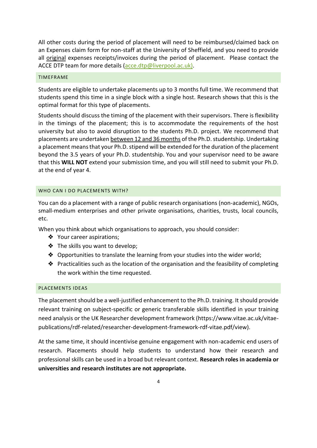All other costs during the period of placement will need to be reimbursed/claimed back on an Expenses claim form for non-staff at the University of Sheffield, and you need to provide all original expenses receipts/invoices during the period of placement. Please contact the ACCE DTP team for more details [\(acce.dtp@liverpool.ac.uk\)](mailto:acce.dtp@liverpool.ac.uk).

#### <span id="page-4-0"></span>TIMEFRAME

Students are eligible to undertake placements up to 3 months full time. We recommend that students spend this time in a single block with a single host. Research shows that this is the optimal format for this type of placements.

Students should discuss the timing of the placement with their supervisors. There is flexibility in the timings of the placement; this is to accommodate the requirements of the host university but also to avoid disruption to the students Ph.D. project. We recommend that placements are undertaken between 12 and 36 months of the Ph.D. studentship. Undertaking a placement means that your Ph.D. stipend will be extended for the duration of the placement beyond the 3.5 years of your Ph.D. studentship. You and your supervisor need to be aware that this **WILL NOT** extend your submission time, and you will still need to submit your Ph.D. at the end of year 4.

# <span id="page-4-1"></span>WHO CAN LDO PLACEMENTS WITH?

You can do a placement with a range of public research organisations (non-academic), NGOs, small-medium enterprises and other private organisations, charities, trusts, local councils, etc.

When you think about which organisations to approach, you should consider:

- ❖ Your career aspirations;
- ❖ The skills you want to develop;
- ❖ Opportunities to translate the learning from your studies into the wider world;
- ❖ Practicalities such as the location of the organisation and the feasibility of completing the work within the time requested.

# PLACEMENTS IDEAS

The placement should be a well-justified enhancement to the Ph.D. training. It should provide relevant training on subject-specific or generic transferable skills identified in your training need analysis or the UK Researcher development framework (https://www.vitae.ac.uk/vitaepublications/rdf-related/researcher-development-framework-rdf-vitae.pdf/view).

At the same time, it should incentivise genuine engagement with non-academic end users of research. Placements should help students to understand how their research and professional skills can be used in a broad but relevant context. **Research roles in academia or universities and research institutes are not appropriate.**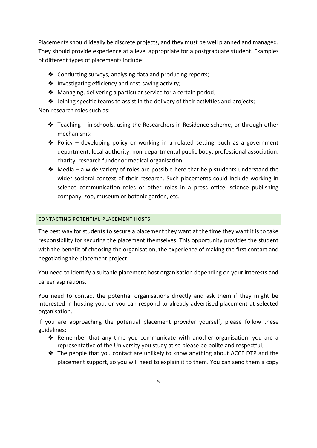Placements should ideally be discrete projects, and they must be well planned and managed. They should provide experience at a level appropriate for a postgraduate student. Examples of different types of placements include:

- ❖ Conducting surveys, analysing data and producing reports;
- ❖ Investigating efficiency and cost-saving activity;
- ❖ Managing, delivering a particular service for a certain period;
- ❖ Joining specific teams to assist in the delivery of their activities and projects;

Non-research roles such as:

- $\triangle$  Teaching in schools, using the Researchers in Residence scheme, or through other mechanisms;
- ❖ Policy developing policy or working in a related setting, such as a government department, local authority, non-departmental public body, professional association, charity, research funder or medical organisation;
- $\triangle$  Media a wide variety of roles are possible here that help students understand the wider societal context of their research. Such placements could include working in science communication roles or other roles in a press office, science publishing company, zoo, museum or botanic garden, etc.

# <span id="page-5-0"></span>CONTACTING POTENTIAL PLACEMENT HOSTS

The best way for students to secure a placement they want at the time they want it is to take responsibility for securing the placement themselves. This opportunity provides the student with the benefit of choosing the organisation, the experience of making the first contact and negotiating the placement project.

You need to identify a suitable placement host organisation depending on your interests and career aspirations.

You need to contact the potential organisations directly and ask them if they might be interested in hosting you, or you can respond to already advertised placement at selected organisation.

If you are approaching the potential placement provider yourself, please follow these guidelines:

- ❖ Remember that any time you communicate with another organisation, you are a representative of the University you study at so please be polite and respectful;
- ❖ The people that you contact are unlikely to know anything about ACCE DTP and the placement support, so you will need to explain it to them. You can send them a copy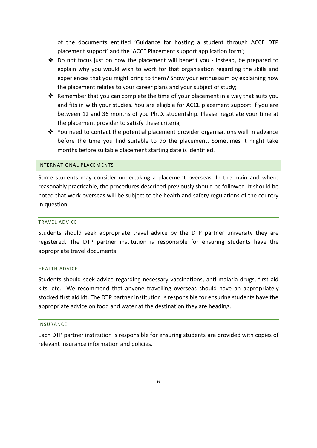of the documents entitled 'Guidance for hosting a student through ACCE DTP placement support' and the 'ACCE Placement support application form';

- ❖ Do not focus just on how the placement will benefit you instead, be prepared to explain why you would wish to work for that organisation regarding the skills and experiences that you might bring to them? Show your enthusiasm by explaining how the placement relates to your career plans and your subject of study;
- ❖ Remember that you can complete the time of your placement in a way that suits you and fits in with your studies. You are eligible for ACCE placement support if you are between 12 and 36 months of you Ph.D. studentship. Please negotiate your time at the placement provider to satisfy these criteria;
- ❖ You need to contact the potential placement provider organisations well in advance before the time you find suitable to do the placement. Sometimes it might take months before suitable placement starting date is identified.

#### <span id="page-6-0"></span>INTERNATIONAL PLACEMENTS

Some students may consider undertaking a placement overseas. In the main and where reasonably practicable, the procedures described previously should be followed. It should be noted that work overseas will be subject to the health and safety regulations of the country in question.

#### <span id="page-6-1"></span>TRAVEL ADVICE

Students should seek appropriate travel advice by the DTP partner university they are registered. The DTP partner institution is responsible for ensuring students have the appropriate travel documents.

#### <span id="page-6-2"></span>HEALTH ADVICE

Students should seek advice regarding necessary vaccinations, anti-malaria drugs, first aid kits, etc. We recommend that anyone travelling overseas should have an appropriately stocked first aid kit. The DTP partner institution is responsible for ensuring students have the appropriate advice on food and water at the destination they are heading.

#### <span id="page-6-3"></span>INSURANCE

Each DTP partner institution is responsible for ensuring students are provided with copies of relevant insurance information and policies.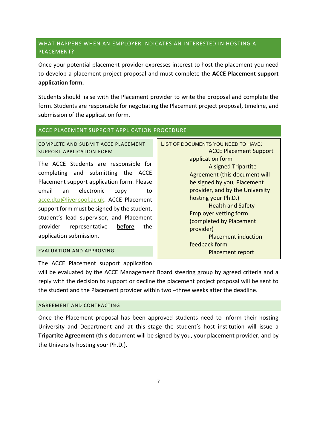# <span id="page-7-2"></span><span id="page-7-0"></span>WHAT HAPPENS WHEN AN EMPLOYER INDICATES AN INTERESTED IN HOSTING A PLACEMENT?

Once your potential placement provider expresses interest to host the placement you need to develop a placement project proposal and must complete the **ACCE Placement support application form.**

Students should liaise with the Placement provider to write the proposal and complete the form. Students are responsible for negotiating the Placement project proposal, timeline, and submission of the application form.

# <span id="page-7-1"></span>ACCE PLACEMENT SUPPORT APPLICATION PROCEDURE

COMPLETE AND SUBMIT ACCE PLACEMENT SUPPORT APPLICATION FORM

The ACCE Students are responsible for completing and submitting the ACCE Placement support application form. Please email an electronic copy to [acce.dtp@liverpool.ac.uk.](mailto:acce.dtp@liverpool.ac.uk) ACCE Placement support form must be signed by the student, student's lead supervisor, and Placement provider representative **before** the application submission.

# LIST OF DOCUMENTS YOU NEED TO HAVE: ACCE Placement Support application form A signed Tripartite Agreement (this document will be signed by you, Placement provider, and by the University hosting your Ph.D.) Health and Safety Employer vetting form (completed by Placement provider) Placement induction feedback form Placement report

# <span id="page-7-3"></span>EVALUATION AND APPROVING

The ACCE Placement support application

will be evaluated by the ACCE Management Board steering group by agreed criteria and a reply with the decision to support or decline the placement project proposal will be sent to the student and the Placement provider within two –three weeks after the deadline.

# <span id="page-7-4"></span>AGREEMENT AND CONTRACTING

Once the Placement proposal has been approved students need to inform their hosting University and Department and at this stage the student's host institution will issue a **Tripartite Agreement** (this document will be signed by you, your placement provider, and by the University hosting your Ph.D.).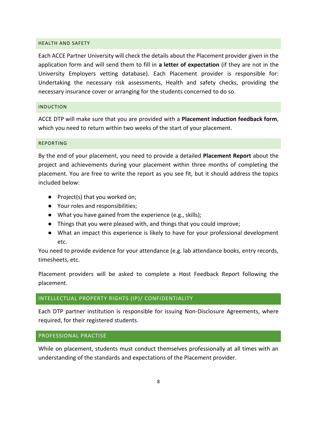#### <span id="page-8-0"></span>HEALTH AND SAFETY

Each ACCE Partner University will check the details about the Placement provider given in the application form and will send them to fill in **a letter of expectation** (if they are not in the University Employers vetting database). Each Placement provider is responsible for: Undertaking the necessary risk assessments, Health and safety checks, providing the necessary insurance cover or arranging for the students concerned to do so.

#### <span id="page-8-1"></span>INDUCTION

ACCE DTP will make sure that you are provided with a **Placement induction feedback form**, which you need to return within two weeks of the start of your placement.

#### <span id="page-8-2"></span>REPORTING

By the end of your placement, you need to provide a detailed **Placement Report** about the project and achievements during your placement within three months of completing the placement. You are free to write the report as you see fit, but it should address the topics included below:

- Project(s) that you worked on;
- Your roles and responsibilities;
- What you have gained from the experience (e.g., skills);
- Things that you were pleased with, and things that you could improve;
- What an impact this experience is likely to have for your professional development etc.

You need to provide evidence for your attendance (e.g. lab attendance books, entry records, timesheets, etc.

Placement providers will be asked to complete a Host Feedback Report following the placement.

#### <span id="page-8-3"></span>INTELLECTUAL PROPERTY RIGHTS (IP)/ CONFIDENTIALITY

Each DTP partner institution is responsible for issuing Non-Disclosure Agreements, where required, for their registered students.

# <span id="page-8-4"></span>PROFESSIONAL PRACTISE

While on placement, students must conduct themselves professionally at all times with an understanding of the standards and expectations of the Placement provider.